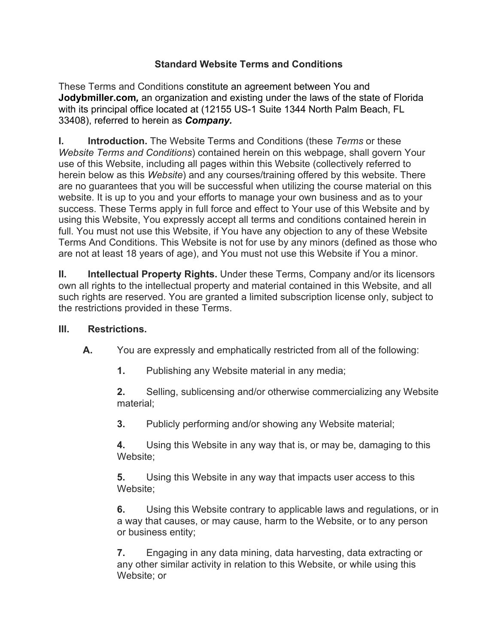## **Standard Website Terms and Conditions**

These Terms and Conditions constitute an agreement between You and **Jodybmiller.com***,* an organization and existing under the laws of the state of Florida with its principal office located at (12155 US-1 Suite 1344 North Palm Beach, FL 33408), referred to herein as *Company.*

**I. Introduction.** The Website Terms and Conditions (these *Terms* or these *Website Terms and Conditions*) contained herein on this webpage, shall govern Your use of this Website, including all pages within this Website (collectively referred to herein below as this *Website*) and any courses/training offered by this website. There are no guarantees that you will be successful when utilizing the course material on this website. It is up to you and your efforts to manage your own business and as to your success. These Terms apply in full force and effect to Your use of this Website and by using this Website, You expressly accept all terms and conditions contained herein in full. You must not use this Website, if You have any objection to any of these Website Terms And Conditions. This Website is not for use by any minors (defined as those who are not at least 18 years of age), and You must not use this Website if You a minor.

**II. Intellectual Property Rights.** Under these Terms, Company and/or its licensors own all rights to the intellectual property and material contained in this Website, and all such rights are reserved. You are granted a limited subscription license only, subject to the restrictions provided in these Terms.

## **III. Restrictions.**

**A.** You are expressly and emphatically restricted from all of the following:

**1.** Publishing any Website material in any media;

**2.** Selling, sublicensing and/or otherwise commercializing any Website material;

**3.** Publicly performing and/or showing any Website material;

**4.** Using this Website in any way that is, or may be, damaging to this Website;

**5.** Using this Website in any way that impacts user access to this Website;

**6.** Using this Website contrary to applicable laws and regulations, or in a way that causes, or may cause, harm to the Website, or to any person or business entity;

**7.** Engaging in any data mining, data harvesting, data extracting or any other similar activity in relation to this Website, or while using this Website; or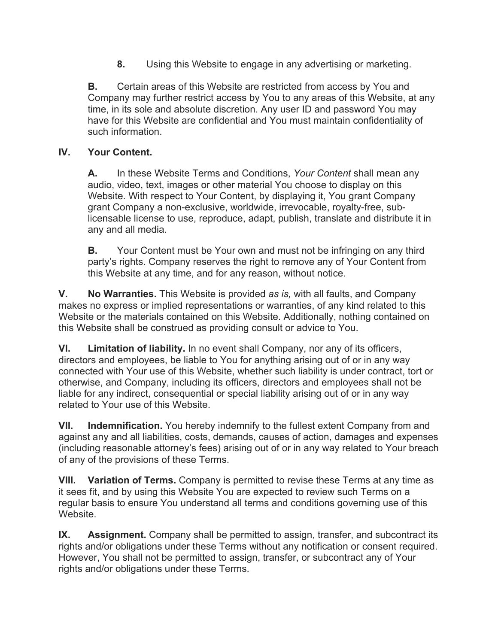**8.** Using this Website to engage in any advertising or marketing.

**B.** Certain areas of this Website are restricted from access by You and Company may further restrict access by You to any areas of this Website, at any time, in its sole and absolute discretion. Any user ID and password You may have for this Website are confidential and You must maintain confidentiality of such information.

## **IV. Your Content.**

**A.** In these Website Terms and Conditions, *Your Content* shall mean any audio, video, text, images or other material You choose to display on this Website. With respect to Your Content, by displaying it, You grant Company grant Company a non-exclusive, worldwide, irrevocable, royalty-free, sublicensable license to use, reproduce, adapt, publish, translate and distribute it in any and all media.

**B.** Your Content must be Your own and must not be infringing on any third party's rights. Company reserves the right to remove any of Your Content from this Website at any time, and for any reason, without notice.

**V. No Warranties.** This Website is provided *as is,* with all faults, and Company makes no express or implied representations or warranties, of any kind related to this Website or the materials contained on this Website. Additionally, nothing contained on this Website shall be construed as providing consult or advice to You.

**VI. Limitation of liability.** In no event shall Company, nor any of its officers, directors and employees, be liable to You for anything arising out of or in any way connected with Your use of this Website, whether such liability is under contract, tort or otherwise, and Company, including its officers, directors and employees shall not be liable for any indirect, consequential or special liability arising out of or in any way related to Your use of this Website.

**VII. Indemnification.** You hereby indemnify to the fullest extent Company from and against any and all liabilities, costs, demands, causes of action, damages and expenses (including reasonable attorney's fees) arising out of or in any way related to Your breach of any of the provisions of these Terms.

**VIII. Variation of Terms.** Company is permitted to revise these Terms at any time as it sees fit, and by using this Website You are expected to review such Terms on a regular basis to ensure You understand all terms and conditions governing use of this Website.

**IX. Assignment.** Company shall be permitted to assign, transfer, and subcontract its rights and/or obligations under these Terms without any notification or consent required. However, You shall not be permitted to assign, transfer, or subcontract any of Your rights and/or obligations under these Terms.